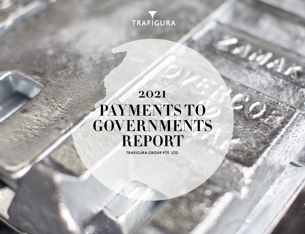

# **2021 PAYMENTS TO GOVERNMENTS REPORT**

**TRAFIGURA GROUP PTE. LTD.**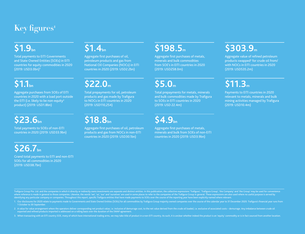#### **Key figures1**

### **\$1.9bn**

Total payments to EITI Governments and State Owned Entities (SOEs) in EITI countries for equity commodities in 2020 (2019: USD3.0bn)3

### **\$1.1bn**

Aggregate purchases from SOEs of EITI countries in 2020 with a load port outside the EITI (i.e. likely to be non-equity<sup>3</sup> product) (2019: USD1.8bn)

### \$23.6<sub>bn</sub>

Total payments to SOEs of non-EITI countries in 2020 (2019: USD33.9bn)

## \$26.7<sub>bn</sub>

Grand total payments to EITI and non-EITI SOEs for all commodities in 2020 (2019: USD38.7bn)

#### **\$1.4bn**

Aggregate first purchases of oil, petroleum products and gas from National Oil Companies (NOCs) in EITI countries in 2020 (2019: USD2.2bn)

### **\$22.0m**

Total prepayments for oil, petroleum products and gas made by Trafigura to NOCs in EITI countries in 2020 (2019: USD110,254)

#### \$18.8<sub>bn</sub>

Aggregate first purchases of oil, petroleum products and gas from NOCs in non-EITI countries in 2020 (2019: USD30.1bn)

#### **\$198.5m**

Aggregate first purchases of metals, minerals and bulk commodities from SOE's in EITI countries in 2020 (2019: USD258.0m)

### **\$5.0m**

Total prepayments for metals, minerals and bulk commodities made by Trafigura to SOEs in EITI countries in 2020 (2019: USD 22.4m)

#### **\$4.9bn**

Aggregate first purchases of metals, minerals and bulk from SOEs of non-EITI countries in 2020 (2019: USD3.9bn)

## **\$303.9m**

Aggregate value of refined petroleum products swapped<sup>2</sup> for crude oil from/ with NOCs in EITI countries in 2020 (2019: USD535.2m)

## **\$11.3m**

Payments to EITI countries in 2020 relevant to metals, minerals and bulk mining activities managed by Trafigura (2019: USD10.4m)

Trafigura Group Pte. Ltd. and the companies in which it directly or indirectly ovns investments are separate and distinct entities. In this publication, the collective expressions 'Trafigura', 'Trafigura', Irafigura', 'Le where reference is made in general to those companies. Likewise, the words 'we', 'us', 'our' and 'ourselves' are used in some places to refer to the companies of the Trafigura Group in general. These expressions are also u identifying any particular company or companies. Throughout this report, specific Trafigura entities that have made payments to SOEs over the course of the reporting year have been explicitly named where relevant.

1. Our disclosures for 2020 relate to payments made to Governments and State Owned Entities (SOEs) for all commodities by Trafigura Group majority owned companies over the course of the calendar year to 31 December 2020. T 1 October to 30 September.

2. A value for value arrangement where the operators deliver corresponding net product value, i.e. inclusive of demurrage cost, to the net value derived from the crude oil loaded, i.e. exclusive of associated costs - demur exported and refined products imported is addressed on a rolling basis over the duration of the SWAP agreement.

3. When transacting with an EITI country SOE, many of which have international trading arms, we may take title of product in a non-EITI country. As such, it is unclear whether indeed the product is an 'equity' commodity or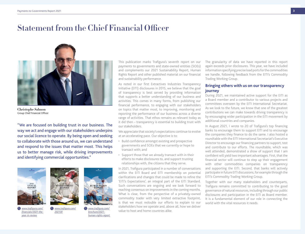#### **Statement from the Chief Financial Officer**



**Christophe Salmon** Group Chief Financial Officer

"We are focused on building trust in our business. The way we act and engage with our stakeholders underpins our social licence to operate. By being open and seeking to collaborate with those around us, we can understand and respond to the issues that matter most. This helps us to better manage risk, while driving improvements and identifying commercial opportunities."



*[www.trafigura.com/](https://www.trafigura.com/financials/2021-the-year-in-review/) [financials/2021-the](https://www.trafigura.com/financials/2021-the-year-in-review/)[year-in-review](https://www.trafigura.com/financials/2021-the-year-in-review/)*



*[www.trafigura.com/](https://www.trafigura.com/brochure/2021-human-rights-report) [brochure/2021](https://www.trafigura.com/brochure/2021-human-rights-report) [human-rights-report](https://www.trafigura.com/brochure/2021-human-rights-report)* 

*[www.trafigura.com/](https://www.trafigura.com/2021SR) [2021SR](https://www.trafigura.com/2021SR)*

This publication marks Trafigura's seventh report on our payments to governments and state-owned entities (SOEs) and complements our 2021 Sustainability Report, Human Rights Report and other published material on our financial and sustainability performance.

As noted in our first Extractives Industries Transparency Initiative (EITI) disclosures in 2015, we believe that the goal of transparency is best served by providing information that supports a better understanding of our business and activities. This comes in many forms, from publishing our financial performance, to engaging with our stakeholders on topics that matter most, to improving, monitoring and reporting the performance of our business across a diverse range of activities. That ethos remains as relevant today as it did then – transparency is essential to building trust with our stakeholders.

We appreciate that society's expectations continue to evolve at an accelerating pace. Our objective is to:

- Build confidence amongst existing and prospective governments and SOEs that we currently or hope to transact with; and
- Support those that we already transact with in their efforts to make disclosures to, and support trusting relationships with, the citizens that they serve.

In 2021, Trafigura participated in a number of conversations within the EITI Board and EITI membership on potential clarifications and changes that could be made to refine the 'EITI's Expectations', an integral part of the EITI Standard. Such conversations are ongoing and we look forward to reaching consensus on improvements in the coming months. What is clear, from the perspective of a privately-owned commodity trader with very limited extractive footprint, is that we must redouble our efforts to explain to our stakeholders how we operate and, above all, how we deliver value to host and home countries alike.

The granularity of data we have reported in this report again exceeds prior disclosures. This year, we have included information specifying precise load ports for the commodities we handle, following feedback from the EITI's Commodity Trading Working Group.

#### **Bringing others with us on our transparency journey**

During 2021, we maintained active support for the EITI as a Board member and a contributor to various projects and committees overseen by the EITI International Secretariat. As we look to the future, we know that one of the greatest contributions we can make towards driving transparency is by encouraging wider participation in the EITI movement by additional countries and companies.

In August 2021, I wrote to 20 of Trafigura's top financing banks to encourage them to support EITI and to encourage the companies they finance to do the same. I also hosted a roundtable with the EITI International Secretariat's Executive Director to encourage our financing partners to support, test and contribute to our efforts. The roundtable, which was well attended, demonstrated a show of support that I am confident will yield two important advantages. First, that the financial sector will continue to step up their engagement with other commodities companies on transparency and supporting the EITI. Second, that banks will actively participate in future EITI discussions, for example through the EITI's Commodity Trading Working Group.

Together with our many stakeholders and counterparts, Trafigura remains committed to contributing to the good governance of natural resources, including through our public disclosures and participation in the EITI as Board member. It is a fundamental element of our role in connecting the world with the vital resources it needs.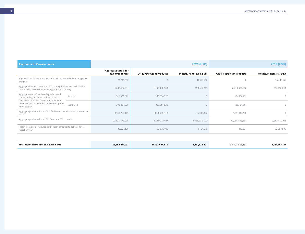| <b>Payments to Governments</b>                                                                                                                       |                                         |                          | 2020 (USD)              |                          | 2019 (USD)              |
|------------------------------------------------------------------------------------------------------------------------------------------------------|-----------------------------------------|--------------------------|-------------------------|--------------------------|-------------------------|
|                                                                                                                                                      | Aggregate totals for<br>all commodities | Oil & Petroleum Products | Metals, Minerals & Bulk | Oil & Petroleum Products | Metals, Minerals & Bulk |
| Payments to EITI countries relevant to extraction activities managed by<br>Trafigura                                                                 | 11,316,632                              |                          | 11,316,632              | $\Omega$                 | 10,447,357              |
| Aggregate first purchases from EITI country SOEs where the initial load<br>port is inside the EITI implementing SOE home country                     | 1,634,547,634                           | 1,436,030,903            | 198,516,730             | 2,248,365,532            | 257,992,604             |
| Aggregate swap of raw / crude products and<br>Received<br>corresponding delivery of refined products<br>from and to SOEs in EITI countries where the | 346,936,922                             | 346,936,922              |                         | 504,186,251              | $\circ$                 |
| initial load port is in the EITI implementing SOE<br>Exchanged<br>home country                                                                       | 303,891,828                             | 303,891,828              |                         | 535,184,901              | $\Omega$                |
| Aggregate purchases from SOEs of EITI countries with a load port outside<br>the EITI                                                                 | 1,108,752,905                           | 1,033,360,448            | 75,392,457              | 1,754,113,730            | $\circ$                 |
| Aggregate purchases from SOEs from non-EITI countries                                                                                                | 23'625,708,038                          | 18,759,361,637           | 4,866,346,402           | 30,066,843,667           | 3,863,870,913           |
| Prepayment deals / resource-backed loan agreements disbursed over<br>reporting year                                                                  | 36,591,430                              | 22,026,915               | 14,564,515              | 110,254                  | 22,353,992              |

| Total payments made to all Governments | 26,684,217,037 | 21,532,644,816 | 151.572.221 | 34,604,507,831 | 4,121,863,517 |
|----------------------------------------|----------------|----------------|-------------|----------------|---------------|
|                                        |                |                |             |                |               |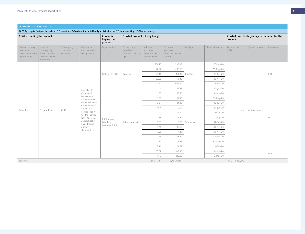|                                                                      | 1. Who is selling the product<br>Name of<br>Ownership<br>Counterparty |                           |                                      | 2. Who is<br>buying the<br>product | 3. What product is being bought                               |                                                           |                                                       |           |                     | 4. What does the buyer pay to the seller for the<br>product |                  |           |  |
|----------------------------------------------------------------------|-----------------------------------------------------------------------|---------------------------|--------------------------------------|------------------------------------|---------------------------------------------------------------|-----------------------------------------------------------|-------------------------------------------------------|-----------|---------------------|-------------------------------------------------------------|------------------|-----------|--|
| Name of country<br>of seller of<br>Government share<br>of production | counterparty<br>SOE or seller of<br>the state share of<br>production  | state owned<br>percentage | information of<br>selling entity     | Buying entity                      | Product type<br>("crude oil"/<br>"refined product"/<br>"gas") | Volumes<br>purchased<br>(thousand metric<br>tonnes - kmt) | Volumes<br>purchased<br>(thousand barrels<br>$-kbbl)$ | Load port | Bill of lading date | Amounts paid<br>(USD)                                       | Type of contract | Incoterms |  |
|                                                                      |                                                                       |                           |                                      |                                    |                                                               | 150.77                                                    | 999.99                                                |           | 03-Jan-20           |                                                             |                  |           |  |
|                                                                      |                                                                       |                           |                                      |                                    |                                                               | 72.22                                                     | 499.59                                                |           | 26-May-20           |                                                             |                  |           |  |
|                                                                      |                                                                       |                           |                                      | Trafigura PTE Ltd                  | Crude oil                                                     | 65.40                                                     | 450.13                                                | Coveñas   | 23-Jun-20           |                                                             |                  | FOB       |  |
|                                                                      |                                                                       |                           |                                      |                                    |                                                               | 66.60                                                     | 459.88                                                |           | 26-Apr-20           |                                                             |                  |           |  |
|                                                                      |                                                                       |                           |                                      |                                    |                                                               | 137.31                                                    | 909.50                                                |           | 19-Sep-20           |                                                             |                  |           |  |
|                                                                      |                                                                       |                           | Republic of                          |                                    |                                                               | 2.15                                                      | 15.53                                                 |           | $31$ -Jan-20        |                                                             |                  |           |  |
|                                                                      |                                                                       |                           | Colombia /<br>Departmento            |                                    |                                                               | 1.87                                                      | 13.56                                                 |           | 31-Mar-20           |                                                             |                  |           |  |
|                                                                      |                                                                       |                           | Administrativo                       |                                    |                                                               | 1.87                                                      | 13.40                                                 |           | 31-May-20           |                                                             |                  |           |  |
|                                                                      |                                                                       |                           | de la Presidencia<br>de la República |                                    |                                                               | 2.01                                                      | 14.39                                                 |           | $30 - Jun - 20$     |                                                             |                  |           |  |
| Colombia                                                             | Ecopetrol SA                                                          | 88.49                     | / Ministerio                         |                                    |                                                               | 0.14                                                      | 0.97                                                  |           | $30 - Jun - 20$     | n/a                                                         | Spot purchase    |           |  |
|                                                                      |                                                                       |                           | de Hacienda Y<br>Crédito Público     |                                    |                                                               | 2.01                                                      | 14.40                                                 |           | $31$ -Jul-20        |                                                             |                  |           |  |
|                                                                      |                                                                       |                           | (88.49 percent)                      | C.I. Trafigura                     |                                                               | 1.98                                                      | 14.16                                                 |           | 31-Aug-20           |                                                             |                  | FCA       |  |
|                                                                      |                                                                       |                           | / Ecopetrol S.A.<br>36 additional    | Petroleum<br>Colombia S.A.S.       | Refined products                                              | 1.23                                                      | 8.76                                                  | Santander | 31-Dec-20           |                                                             |                  |           |  |
|                                                                      |                                                                       |                           | minority<br>shareholders.            |                                    |                                                               | 2.18                                                      | 15.62                                                 |           | 31-Oct-20           |                                                             |                  |           |  |
|                                                                      |                                                                       |                           |                                      |                                    |                                                               | 1.09                                                      | 7.88                                                  |           | 30-Apr-20           |                                                             |                  |           |  |
|                                                                      |                                                                       |                           |                                      |                                    |                                                               | 1.94                                                      | 13.90                                                 |           | 30-Sep-20           |                                                             |                  |           |  |
|                                                                      |                                                                       |                           |                                      |                                    |                                                               | 1.40                                                      | 9.99                                                  |           | 30-Nov-20           |                                                             |                  |           |  |
|                                                                      |                                                                       |                           |                                      |                                    |                                                               | 3.40                                                      | 24.62                                                 |           | 29-Feb-20           |                                                             |                  |           |  |
|                                                                      |                                                                       |                           |                                      |                                    |                                                               | 23.02                                                     | 148.50                                                |           | 31-Mar-20           |                                                             |                  | FOB       |  |
|                                                                      |                                                                       |                           |                                      |                                    |                                                               | 18.13                                                     | 116.95                                                |           | 12-May-20           |                                                             |                  |           |  |
| Sub-total<br>556.71kmt                                               |                                                                       |                           |                                      |                                    |                                                               |                                                           | 3,751.72kbbl                                          |           |                     | USD140,262,242                                              |                  |           |  |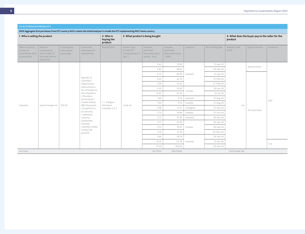| 1. Who is selling the product                                        |                                                                                 |                                           |                                               | 2. Who is<br>buying the<br>product |                                                               | 3. What product is being bought                           |                                                       | 4. What does the buyer pay to the seller for the<br>product |                          |                       |                  |           |  |
|----------------------------------------------------------------------|---------------------------------------------------------------------------------|-------------------------------------------|-----------------------------------------------|------------------------------------|---------------------------------------------------------------|-----------------------------------------------------------|-------------------------------------------------------|-------------------------------------------------------------|--------------------------|-----------------------|------------------|-----------|--|
| Name of country<br>of seller of<br>Government share<br>of production | Name of<br>counterparty<br>SOE or seller of<br>the state share of<br>production | Counterparty<br>state owned<br>percentage | Ownership<br>information of<br>selling entity | Buying entity                      | Product type<br>("crude oil"/<br>"refined product"/<br>"gas") | Volumes<br>purchased<br>(thousand metric<br>tonnes - kmt) | Volumes<br>purchased<br>(thousand barrels<br>$-kbbl)$ | Load port                                                   | Bill of lading date      | Amounts paid<br>(USD) | Type of contract | Incoterms |  |
|                                                                      |                                                                                 |                                           |                                               |                                    |                                                               | 5.44                                                      | 37.99                                                 |                                                             | $31$ - $ an-20$          |                       | Spot purchase    |           |  |
|                                                                      |                                                                                 |                                           |                                               |                                    |                                                               | 5.44                                                      | 38.02                                                 |                                                             | 29-Feb-20                |                       |                  |           |  |
|                                                                      |                                                                                 |                                           |                                               |                                    |                                                               | 3.73                                                      | 26.08                                                 | Casanare                                                    | $31$ -Jan-20             |                       |                  |           |  |
|                                                                      |                                                                                 |                                           | Republic of<br>Colombia /                     |                                    |                                                               | 3.26                                                      | 22.79                                                 |                                                             | 31-Mar-20                |                       |                  |           |  |
|                                                                      |                                                                                 |                                           | Departmento<br>Administrativo                 |                                    |                                                               | 3.58                                                      | 25.02                                                 |                                                             | 31-May-20                |                       |                  |           |  |
|                                                                      |                                                                                 |                                           | de la Presidencia                             |                                    |                                                               | 3.24                                                      | 22.65                                                 | Coveñas                                                     | $30 - \frac{\ln 20}{10}$ |                       |                  |           |  |
|                                                                      |                                                                                 |                                           | de la República<br>/ Ministerio               |                                    |                                                               | 13.07                                                     | 91.34                                                 |                                                             | $31$ -Jul-20             |                       |                  |           |  |
|                                                                      |                                                                                 |                                           | de Hacienda Y                                 |                                    |                                                               | 1.60                                                      | 11.16                                                 | Casanare                                                    | 31-Aug-20                |                       |                  | DAP       |  |
| Colombia                                                             | Equion Energía Ltd                                                              | 100.00                                    | Crédito Público<br>(88.49 percent)            | C.I. Trafigura<br>Petroleum        | Crude oil                                                     | 1.60                                                      | 11.16                                                 | Coveñas                                                     | 31-Aug-20                | n/a                   |                  |           |  |
|                                                                      |                                                                                 |                                           | / Ecopetrol S.A                               | Colombia S.A.S.                    |                                                               | 3.08                                                      | 21.51                                                 | Cartagena                                                   | 31-Dec-20                |                       | Term purchase    |           |  |
|                                                                      |                                                                                 |                                           | (51 percent).<br>1 additional                 |                                    |                                                               | 2.73                                                      | 19.08                                                 | Coveñas                                                     | 31-Oct-20                |                       |                  |           |  |
|                                                                      |                                                                                 |                                           | minority<br>shareholder:                      |                                    |                                                               | 3.71                                                      | 25.95                                                 | Casanare                                                    | $30 - Apr-20$            |                       |                  |           |  |
|                                                                      |                                                                                 |                                           | Talisman                                      |                                    |                                                               | 3.71                                                      | 25.95                                                 |                                                             | 30-Apr-20                |                       |                  |           |  |
|                                                                      |                                                                                 |                                           | Colombia Holdco<br>Limited (49                |                                    |                                                               | 2.75                                                      | 19.25                                                 | Coveñas                                                     | 30-Sep-20                |                       |                  |           |  |
|                                                                      |                                                                                 |                                           | percent).                                     |                                    |                                                               | 3.12                                                      | 21.78                                                 |                                                             | 30-Nov-20                |                       |                  |           |  |
|                                                                      |                                                                                 |                                           |                                               |                                    |                                                               | 2.69                                                      | 18.79                                                 |                                                             | 29-Feb-20                |                       |                  |           |  |
|                                                                      |                                                                                 |                                           |                                               |                                    |                                                               | 16.14                                                     | 112.78                                                | Casanare                                                    | $31$ -Jan-20             |                       |                  | FCA       |  |
|                                                                      |                                                                                 |                                           |                                               |                                    |                                                               | 15.29                                                     | 106.83                                                |                                                             | 29-Feb-20                |                       |                  |           |  |
| Sub-total                                                            |                                                                                 |                                           |                                               |                                    |                                                               | 94.17kmt                                                  | 658.13kbbl                                            |                                                             |                          | USD30,666,582         |                  |           |  |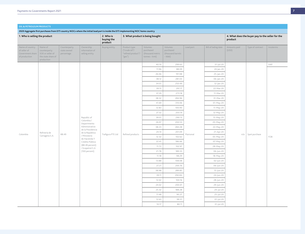| 1. Who is selling the product                                        |                                                                                 |                                           |                                               | 2. Who is<br>buying the<br>product | 3. What product is being bought                               |                                                           |                                                       |           |                     | product               | 4. What does the buyer pay to the seller for the |           |
|----------------------------------------------------------------------|---------------------------------------------------------------------------------|-------------------------------------------|-----------------------------------------------|------------------------------------|---------------------------------------------------------------|-----------------------------------------------------------|-------------------------------------------------------|-----------|---------------------|-----------------------|--------------------------------------------------|-----------|
| Name of country<br>of seller of<br>Government share<br>of production | Name of<br>counterparty<br>SOE or seller of<br>the state share of<br>production | Counterparty<br>state owned<br>percentage | Ownership<br>information of<br>selling entity | Buying entity                      | Product type<br>("crude oil"/<br>"refined product"/<br>"gas") | Volumes<br>purchased<br>(thousand metric<br>tonnes - kmt) | Volumes<br>purchased<br>(thousand barrels<br>$-kbbl)$ | Load port | Bill of lading date | Amounts paid<br>(USD) | Type of contract                                 | Incoterms |
|                                                                      |                                                                                 |                                           |                                               |                                    |                                                               | 40.10                                                     | 299.63                                                |           | $31$ -Jul-20        |                       |                                                  | DAP       |
|                                                                      |                                                                                 |                                           |                                               |                                    |                                                               | 11.96                                                     | 88.09                                                 |           | 24. Jan-20          |                       |                                                  |           |
|                                                                      |                                                                                 |                                           |                                               |                                    |                                                               | 26.06                                                     | 191.98                                                |           | 25-Jan-20           |                       |                                                  |           |
|                                                                      |                                                                                 |                                           |                                               |                                    |                                                               | 38.12                                                     | 281.03                                                |           | 06-Jan-20           |                       |                                                  |           |
|                                                                      |                                                                                 |                                           |                                               |                                    |                                                               | 34.01                                                     | 250.49                                                |           | 12-Jan-20           |                       |                                                  |           |
|                                                                      |                                                                                 |                                           |                                               |                                    |                                                               | 39.15                                                     | 291.17                                                |           | 22-Mar-20           |                       |                                                  |           |
|                                                                      |                                                                                 |                                           |                                               |                                    |                                                               | 37.29                                                     | 273.18                                                |           | 11-Mar-20           |                       |                                                  |           |
|                                                                      |                                                                                 |                                           |                                               |                                    |                                                               | 38.32                                                     | 284.96                                                |           | 31-Mar-20           |                       |                                                  |           |
|                                                                      |                                                                                 |                                           |                                               |                                    |                                                               | 41.69                                                     | 310.06                                                |           | 01-May-20           |                       |                                                  |           |
|                                                                      |                                                                                 |                                           |                                               |                                    |                                                               | 12.83                                                     | 100.90                                                |           | 11-May-20           |                       |                                                  |           |
|                                                                      |                                                                                 |                                           |                                               |                                    |                                                               | 27.32                                                     | 203.19                                                |           | 12-May-20           |                       |                                                  |           |
|                                                                      |                                                                                 |                                           | Republic of<br>Colombia /                     |                                    |                                                               | 39.01                                                     | 290.13                                                |           | 15-May-20           |                       |                                                  |           |
|                                                                      |                                                                                 |                                           | Departmento                                   |                                    |                                                               | 26.97                                                     | 200.53                                                |           | 20-May-20           |                       |                                                  |           |
|                                                                      |                                                                                 |                                           | Administrativo<br>de la Presidencia           |                                    |                                                               | 38.23                                                     | 284.28                                                |           | 22-May-20           |                       |                                                  |           |
| Colombia                                                             | Refinería de                                                                    | 88.49                                     | de la República                               | Trafigura PTE Ltd                  | Refined products                                              | 24.14                                                     | 201.09                                                | Mamonal   | 21-Apr-20           |                       | n/a Spot purchase                                |           |
|                                                                      | Cartagena S.A.                                                                  |                                           | / Ministerio<br>de Hacienda Y                 |                                    |                                                               | 12.32                                                     | 102.62                                                |           | 05-May-20           |                       |                                                  | FOB       |
|                                                                      |                                                                                 |                                           | Crédito Público                               |                                    |                                                               | 22.41                                                     | 186.66                                                |           | 07-May-20           |                       |                                                  |           |
|                                                                      |                                                                                 |                                           | (88.49 percent)<br>/ Ecopetrol S.A            |                                    |                                                               | 11.72                                                     | 102.97                                                |           | 28-May-20           |                       |                                                  |           |
|                                                                      |                                                                                 |                                           | (100 percent).                                |                                    |                                                               | 21.78                                                     | 189.33                                                |           | 06-Jun-20           |                       |                                                  |           |
|                                                                      |                                                                                 |                                           |                                               |                                    |                                                               | 11.18                                                     | 98.29                                                 |           | 18-May-20           |                       |                                                  |           |
|                                                                      |                                                                                 |                                           |                                               |                                    |                                                               | 13.88                                                     | 108.08                                                |           | 02-Jun-20           |                       |                                                  |           |
|                                                                      |                                                                                 |                                           |                                               |                                    |                                                               | 27.21                                                     | 200.76                                                |           | 06-Jun-20           |                       |                                                  |           |
|                                                                      |                                                                                 |                                           |                                               |                                    |                                                               | 38.98                                                     | 289.85                                                |           | 15-Jun-20           |                       |                                                  |           |
|                                                                      |                                                                                 |                                           |                                               |                                    |                                                               | 39.11                                                     | 290.84                                                |           | 24-Jun-20           |                       |                                                  |           |
|                                                                      |                                                                                 |                                           |                                               |                                    |                                                               | 12.02                                                     | 100.16                                                |           | 28-Jun-20           |                       |                                                  |           |
|                                                                      |                                                                                 |                                           |                                               |                                    |                                                               | 24.02                                                     | 200.07                                                |           | 29-Jun-20           |                       |                                                  |           |
|                                                                      |                                                                                 |                                           |                                               |                                    |                                                               | 25.32                                                     | 188.28                                                |           | 24-Jul-20           |                       |                                                  |           |
|                                                                      |                                                                                 |                                           |                                               |                                    |                                                               | 11.48                                                     | 90.27                                                 |           | 25-Jul-20           |                       |                                                  |           |
|                                                                      |                                                                                 |                                           |                                               |                                    |                                                               | 12.63                                                     | 99.31                                                 |           | $01$ -Jul-20        |                       |                                                  |           |
|                                                                      |                                                                                 |                                           |                                               |                                    |                                                               | 10.17                                                     | 80.11                                                 |           | 31-Jul-20           |                       |                                                  |           |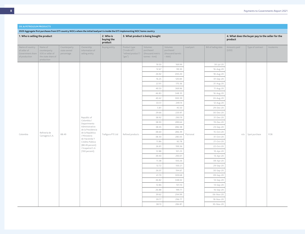|                                                                      | 1. Who is selling the product<br>Name of<br>Counterparty<br>Ownership |                           |                                     | 2. Who is<br>buying the<br>product | 3. What product is being bought                               |                                                           |                                                      |           |                        | product               | 4. What does the buyer pay to the seller for the |           |
|----------------------------------------------------------------------|-----------------------------------------------------------------------|---------------------------|-------------------------------------|------------------------------------|---------------------------------------------------------------|-----------------------------------------------------------|------------------------------------------------------|-----------|------------------------|-----------------------|--------------------------------------------------|-----------|
| Name of country<br>of seller of<br>Government share<br>of production | counterparty<br>SOE or seller of<br>the state share of<br>production  | state owned<br>percentage | information of<br>selling entity    | <b>Buying entity</b>               | Product type<br>("crude oil"/<br>"refined product"/<br>"gas") | Volumes<br>purchased<br>(thousand metric<br>tonnes - kmt) | Volumes<br>purchased<br>(thousand barrels<br>- kbbl) | Load port | Bill of lading date    | Amounts paid<br>(USD) | Type of contract                                 | Incoterms |
|                                                                      |                                                                       |                           |                                     |                                    |                                                               | 19.50                                                     | 169.99                                               |           | $30$ -Jul-20           |                       |                                                  |           |
|                                                                      |                                                                       |                           |                                     |                                    |                                                               | 12.67                                                     | 99.30                                                |           | 16-Aug-20              |                       |                                                  |           |
|                                                                      |                                                                       |                           |                                     |                                    |                                                               | 26.92                                                     | 200.20                                               |           | 18-Aug-20              |                       |                                                  |           |
|                                                                      |                                                                       |                           |                                     |                                    |                                                               | 16.25                                                     | 120.84                                               |           | 01-Sep-20              |                       |                                                  |           |
|                                                                      |                                                                       |                           |                                     |                                    |                                                               | 22.91                                                     | 170.36                                               |           | 31-Aug-20              |                       |                                                  |           |
|                                                                      |                                                                       |                           |                                     |                                    |                                                               | 49.50                                                     | 369.96                                               |           | 11-Aug-20              |                       |                                                  |           |
|                                                                      |                                                                       |                           |                                     |                                    |                                                               | 46.83                                                     | 348.35                                               |           | 16-Aug-20              |                       |                                                  |           |
|                                                                      |                                                                       |                           |                                     |                                    |                                                               | 40.42                                                     | 300.39                                               |           | 24-Aug-20              |                       |                                                  |           |
|                                                                      |                                                                       |                           |                                     |                                    |                                                               | 33.51                                                     | 249.14                                               |           | 12-Aug-20              |                       |                                                  |           |
|                                                                      |                                                                       |                           |                                     |                                    |                                                               | 5.81                                                      | 45.50                                                |           | 29-Dec-20              |                       |                                                  |           |
|                                                                      |                                                                       |                           |                                     |                                    |                                                               | 29.66                                                     | 220.97                                               |           | 30-Dec-20              |                       |                                                  |           |
|                                                                      |                                                                       |                           | Republic of<br>Colombia /           |                                    |                                                               | 38.92                                                     | 290.19                                               |           | 31-Dec-20              |                       |                                                  |           |
|                                                                      |                                                                       |                           | Departmento                         |                                    |                                                               | 38.93                                                     | 289.64                                               |           | 19-Dec-20              |                       |                                                  |           |
|                                                                      |                                                                       |                           | Administrativo<br>de la Presidencia |                                    |                                                               | 38.45                                                     | 286.38                                               |           | 23-Sep-20              |                       |                                                  |           |
| Colombia                                                             | Refinería de                                                          | 88.49                     | de la República                     | Trafigura PTE Ltd                  | Refined products                                              | 38.60                                                     | 286.39                                               | Mamonal   | 15-Oct-20              |                       | n/a Spot purchase                                | FOB       |
|                                                                      | Cartagena S.A.                                                        |                           | / Ministerio<br>de Hacienda Y       |                                    |                                                               | 38.30                                                     | 285.05                                               |           | 31-Oct-20              |                       |                                                  |           |
|                                                                      |                                                                       |                           | Crédito Público<br>(88.49 percent)  |                                    |                                                               | 11.86                                                     | 92.78                                                |           | 21-Oct-20              |                       |                                                  |           |
|                                                                      |                                                                       |                           | / Ecopetrol S.A                     |                                    |                                                               | 26.81                                                     | 199.36                                               |           | 22-Oct-20              |                       |                                                  |           |
|                                                                      |                                                                       |                           | (100 percent).                      |                                    |                                                               | 12.88                                                     | 101.23                                               |           | 10-Apr-20              |                       |                                                  |           |
|                                                                      |                                                                       |                           |                                     |                                    |                                                               | 39.40                                                     | 293.01                                               |           | 13-Apr-20              |                       |                                                  |           |
|                                                                      |                                                                       |                           |                                     |                                    |                                                               | 11.38                                                     | 100.26                                               |           | 09-Apr-20              |                       |                                                  |           |
|                                                                      |                                                                       |                           |                                     |                                    |                                                               | 12.72                                                     | 100.21                                               |           | 29-Sep-20              |                       |                                                  |           |
|                                                                      |                                                                       |                           |                                     |                                    |                                                               | 26.07                                                     | 194.67                                               |           | 30-Sep-20              |                       |                                                  |           |
|                                                                      |                                                                       |                           |                                     |                                    |                                                               | 41.70                                                     | 309.68                                               |           | 09-Sep-20              |                       |                                                  |           |
|                                                                      |                                                                       |                           |                                     |                                    |                                                               | 46.82                                                     | 348.02                                               |           | 14-Sep-20              |                       |                                                  |           |
|                                                                      |                                                                       |                           |                                     |                                    |                                                               | 12.86                                                     | 101.10                                               |           | 13-Sep-20              |                       |                                                  |           |
|                                                                      |                                                                       |                           |                                     |                                    |                                                               | 26.88<br>39.62                                            | 199.77<br>294.99                                     |           | 16-Sep-20<br>06-Nov-20 |                       |                                                  |           |
|                                                                      |                                                                       |                           |                                     |                                    |                                                               | 39.77                                                     | 296.77                                               |           | 18-Nov-20              |                       |                                                  |           |
|                                                                      |                                                                       |                           |                                     |                                    |                                                               | 38.13                                                     | 284.81                                               |           | $30 - Nov-20$          |                       |                                                  |           |
|                                                                      |                                                                       |                           |                                     |                                    |                                                               |                                                           |                                                      |           |                        |                       |                                                  |           |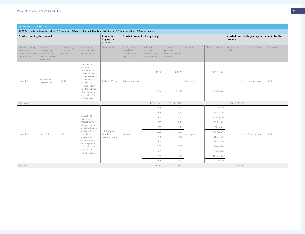|  | <b>OIL &amp; PETROLEUM PRODUCTS</b> |
|--|-------------------------------------|
|  |                                     |

**2020 Aggregate first purchases from EITI country NOCs where the initial load port is inside the EITI implementing NOC home country 1. Who is selling the product 2. Who is buying the product 3. What product is being bought 4. What does the buyer pay to the seller for the product** Name of country of seller of Government share of production Name of counterparty SOE or seller of the state share of production Counterparty state owned percentage Ownership information of selling entity Buying entity Product type ("crude oil"/ "refined product"/ "gas") Volumes purchased (thousand metric tonnes – kmt) Volumes purchased (thousand barrels – kbbl) Load port Bill of lading date Amounts paid (USD) Type of contract | Incoterms Colombia Refinería de Refineria de 88.49 Republic of Colombia / Departmento Administrativo de la Presidencia de la República / Ministerio de Hacienda Y Crédito Público (88.49 percent) / Ecopetrol S.A (100 percent). Trafigura PTE Ltd | Refined products 40.82 299.83 Mamonal 08-Feb-20 n/a Spot purchase FOB 39.14 291.10 29-Feb-20 Sub-total 1733.47kmt 13118.48kbbl USD610,349,623 Colombia | Hocol S.A. | 100 Republic of Colombia / Departmento Administrativo de la Presidencia de la República / Ministerio de Hacienda Y Crédito Público (88.49 percent) / Ecopetrol S.A. / Hocol S.A. (100 percent). C.I. Trafigura Petroleum Colombia S.A.S. Crude oil 0.15 1.00 Cartagena 31-Jan-20 n/a Term purchase FCA 0.15 1.00 1.00 31-Mar-20 0.15 1.00 1.00 31-May-20 0.15 1.00 1.00 30-Jun-20  $0.15$   $0.98$   $31$ -Jul-20 0.08 0.50 31-Aug-20 0.15 1.00 1.00 31-Dec-20 0.15 1.01 1.01 31-Oct-20  $0.08$   $0.52$   $0.52$   $30-Apr-20$ 0.15 1.01 1.01 30-Sep-20 0.08 0.50 30-Nov-20 0.15 1.00 1.00 29-Feb-20 Sub-total 1.60kmt 10.52kbbl USD392,340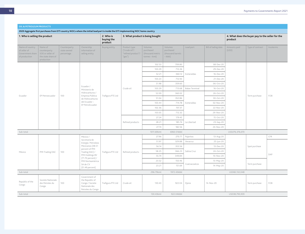**2020 Aggregate first purchases from EITI country NOCs where the initial load port is inside the EITI implementing NOC home country 1. Who is selling the product 2. Who is buying the product 3. What product is being bought 4. What does the buyer pay to the seller for the product** Name of country of seller of Government share of production Name of counterparty SOE or seller of the state share of production Counterparty state owned percentage Ownership information of selling entity Buying entity Product type ("crude oil"/ "refined product"/ "gas") Volumes purchased (thousand metric tonnes – kmt) Volumes purchased (thousand barrels – kbbl) Load port Bill of lading date Amounts paid (USD) Type of contract | Incoterms Ecuador EP Petroecuador 100 Ecuador / Ministerio de Hidrocarburos / Empresa Pública de Hidrocarburos del Ecuador – EP PetroEcuador Trafigura PTE Ltd Crude oil 102.53 709.80 Esmeraldas 08-Dec-20 Term purchase FOB 103.29 712.26 29-Dec-20 52.21 360.12 Esmeraldas 16-Dec-20 103.23 712.93 21-Dec-20 51.98 359.60 06-Oct-20 103.29 713.68 Balao Terminal 16-Oct-20 52.09 360.02 103.44 714.78 | Esmeraldas | 02-Nov-20 26-Oct-20 51.04 352.86 30-Oct-20 102.36 707.37 707.37 103.05 712.32 29-Nov-20 Refined products 27.24 179.45 La Libertad 15-Oct-20 28.21 185.74 La Libertad 23-Sep-20 27.74 182.56 24-Nov-20 Sub-total 1011.69kmt 6963.51kbbl USD276,376,070 México | PMI Trading DAC | 100 México / Secretaría de Energía / Petroleos Mexicanos (48.51 percent of PMI Trading DAC) / PMI Holdings BV (71.70 percent) / PMI Norteamérica SA de CV (51.49 percent) Trafigura PTE Ltd | Refined products 27.96 270.77 Pajaritos 13-Aug-20 Spot purchase CFR 51.97 329.88 Veracruz 25-Jun-20 DAP 56.14 353.56 Salina Cruz 13-Dec-20 58.25 366.23 Salina Cruz 24-Oct-20 55.74 349.84 349.84 10-Nov-20 23.52 150.46 Coatzacoalcos 13-May-20 23.21 151.69 Coatzacoalcos 14-May-20 Term purchase Sub-total 296.79kmt 1972.43kbbl USD82,132,048 Republic of the Congo Societe Nationale des Petroles du Congo 100 Government of the Republic of Congo / Societe Nationale des Petroles du Congo Trafigura PTE Ltd Crude oil 130.43 922.04 Djeno 14-Nov-20 Term purchase FOB Sub-total 130.43kmt 922.04kbbl USD38,790,939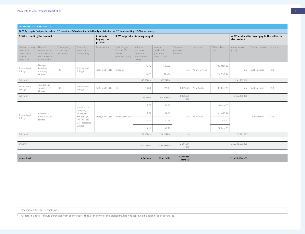| 1. Who is selling the product<br>2. Who is<br>3. What product is being bought<br>buying the<br>product |                                                                                 |                                           |                                               |                      |                                                               |                                                              |                                                    | 4. What does the buyer pay to the seller for<br>the product |                 |                        |                       |                     |           |
|--------------------------------------------------------------------------------------------------------|---------------------------------------------------------------------------------|-------------------------------------------|-----------------------------------------------|----------------------|---------------------------------------------------------------|--------------------------------------------------------------|----------------------------------------------------|-------------------------------------------------------------|-----------------|------------------------|-----------------------|---------------------|-----------|
| Name of country<br>of seller of<br>Government<br>share of<br>production                                | Name of<br>counterparty<br>SOE or seller of<br>the state share<br>of production | Counterparty<br>state owned<br>percentage | Ownership<br>information of<br>selling entity | <b>Buying entity</b> | Product type<br>("crude oil"/<br>"refined<br>product"/ "gas") | Volumes<br>purchased<br>(thousand<br>metric tonnes<br>- kmt) | Volumes<br>purchased<br>(thousand<br>barrels-kbbl) | Volumes<br>purchased<br>(MMBTU) <sup>1</sup>                | Load port       | Bill of lading<br>date | Amounts paid<br>(USD) | Type of contract    | Incoterms |
| Trinidad and                                                                                           | Heritage<br>Petroleum                                                           | 100                                       | Trinidad and                                  |                      | Crude oil                                                     | 78.76                                                        | 538.56                                             |                                                             | Pointe-a-Pierre | 08-Mar-20              |                       |                     | FOB       |
| Tobago                                                                                                 | Company<br>Limited                                                              |                                           | Tobago                                        | Trafigura PTE Ltd    |                                                               | 66.77                                                        | 457.43                                             | n/a                                                         |                 | 30-Aug-20              |                       | $n/a$ Spot purchase |           |
| Sub-total                                                                                              |                                                                                 |                                           |                                               |                      |                                                               | 145.53kmt                                                    | 995.9kbbl                                          |                                                             |                 |                        | USD41,275,712         |                     |           |
| Trinidad and<br>Tobago                                                                                 | Trinidad and<br>Tobago LNG<br>Limited                                           | 100                                       | Trinidad and<br>Tobago                        | Trafigura PTE Ltd    | Gas                                                           | 33.89                                                        | 311.94                                             | 1,809,275                                                   | Point Fortin    | 18-Dec-20              | n/a                   | Spot purchase       | FOB       |
| Sub-total                                                                                              |                                                                                 |                                           |                                               |                      |                                                               | 33.8kmt                                                      | 311.94kbbl                                         | 1,809,275<br>MMBTU                                          |                 |                        | USD7,436,120          |                     |           |
|                                                                                                        |                                                                                 |                                           | National Gas                                  |                      |                                                               | 7.77                                                         | 83.80                                              |                                                             |                 | $31$ -Jan-20           |                       |                     |           |
| Trinidad and                                                                                           | Phoenix Park<br>Gas Processors                                                  | 51                                        | Company<br>of Trinidad<br>and Tobago /        | Trafigura PTE Ltd    | Refined products                                              | 3.92                                                         | 43.04                                              | n/a                                                         | Point Lisas     | 04-Apr-20              |                       | Term purchase       | FOB       |
| Tobago                                                                                                 | Limited                                                                         |                                           | Phoenix Park<br>Gas Processors                |                      |                                                               | 2.50                                                         | 27.43                                              |                                                             |                 | 21-Apr-20              |                       |                     |           |
|                                                                                                        |                                                                                 |                                           | Limited                                       |                      |                                                               | 5.46                                                         | 60.00                                              |                                                             |                 | 12-Feb-20              |                       |                     |           |
| Sub-total                                                                                              |                                                                                 |                                           |                                               |                      |                                                               | 19.65kmt                                                     | 214.26kbbl                                         | $\circ$                                                     |                 |                        | USD5,721,997          |                     |           |
|                                                                                                        |                                                                                 |                                           |                                               |                      |                                                               |                                                              |                                                    |                                                             |                 |                        |                       |                     |           |
| Others <sup>2</sup>                                                                                    |                                                                                 |                                           |                                               |                      |                                                               | 518.17kmt                                                    | 4492.63kbbl                                        | 2,891,791<br>MMBTU                                          |                 |                        | USD202,627,230        |                     |           |
|                                                                                                        |                                                                                 |                                           |                                               |                      |                                                               |                                                              |                                                    |                                                             |                 |                        |                       |                     |           |
| <b>Grand Total</b>                                                                                     |                                                                                 |                                           |                                               |                      |                                                               | 4,542kmt                                                     | 33,412kbbl                                         | 4,701,066<br><b>MMBTU</b>                                   |                 |                        | USD1,436,030,903      |                     |           |

**2020 Aggregate first purchases from EITI country NOCs where the initial load port is inside the EITI implementing NOC home country**

<sup>1</sup> One million British Thermal Units.

<sup>2</sup> 'Others' includes Trafigura purchases from counterparts that, at the time of this disclosure, had not approved inclusion of such purchases.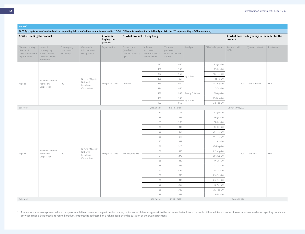#### **SWAPs3**

**2020 Aggregate swap of crude oil and corresponding delivery of refined products from and to NOCs in EITI countries where the initial load port is in the EITI implementing NOC home country**

| 1. Who is selling the product                                        |                                                                                 |                                           |                                               | 2. Who is<br>buying the<br>product | 3. What product is being bought                               |                                                           |                                                      |                |                        | product               | 4. What does the buyer pay to the seller for the |           |
|----------------------------------------------------------------------|---------------------------------------------------------------------------------|-------------------------------------------|-----------------------------------------------|------------------------------------|---------------------------------------------------------------|-----------------------------------------------------------|------------------------------------------------------|----------------|------------------------|-----------------------|--------------------------------------------------|-----------|
| Name of country<br>of seller of<br>Government share<br>of production | Name of<br>counterparty<br>SOE or seller of<br>the state share of<br>production | Counterparty<br>state owned<br>percentage | Ownership<br>information of<br>selling entity | <b>Buying entity</b>               | Product type<br>("crude oil"/<br>"refined product"/<br>"gas") | Volumes<br>purchased<br>(thousand metric<br>tonnes - kmt) | Volumes<br>purchased<br>(thousand barrels<br>- kbbl) | Load port      | Bill of lading date    | Amounts paid<br>(USD) | Type of contract                                 | Incoterms |
|                                                                      |                                                                                 |                                           |                                               |                                    |                                                               | 127                                                       | 950                                                  |                | 31-Jan-20              |                       |                                                  |           |
|                                                                      |                                                                                 |                                           |                                               |                                    |                                                               | 126                                                       | 950                                                  |                | 09-Jan-20              |                       |                                                  |           |
|                                                                      |                                                                                 |                                           |                                               |                                    |                                                               | 127                                                       | 950                                                  | Qua Iboe       | 18-Mar-20              |                       |                                                  |           |
|                                                                      | Nigerian National                                                               |                                           | Nigeria / Nigerian                            |                                    |                                                               | 126                                                       | 951                                                  |                | $31$ -Jul-20           |                       |                                                  |           |
| Nigeria                                                              | Petroleum                                                                       | 100                                       | National<br>Petroleum                         | Trafigura PTE Ltd                  | Crude oil                                                     | 125                                                       | 950                                                  |                | 25-Aug-20              | n/a                   | Term purchase                                    | FOB       |
|                                                                      | Corporation                                                                     |                                           | Corporation                                   |                                    |                                                               | 126                                                       | 950                                                  |                | 27-Oct-20              |                       |                                                  |           |
|                                                                      |                                                                                 |                                           |                                               |                                    |                                                               | 129                                                       | 948                                                  | Bonny Offshore | 21-Apr-20              |                       |                                                  |           |
|                                                                      |                                                                                 |                                           |                                               |                                    |                                                               | 126                                                       | 950                                                  | Qua Iboe       | 08-Nov-20              |                       |                                                  |           |
|                                                                      |                                                                                 |                                           |                                               |                                    |                                                               | 127                                                       | 950                                                  |                | 28-Feb-20              |                       |                                                  |           |
| Sub-total                                                            |                                                                                 |                                           |                                               |                                    |                                                               | 1,138.38kmt                                               | 8,548.56kbbl                                         |                |                        | USD346,936,922        |                                                  |           |
|                                                                      |                                                                                 |                                           |                                               |                                    |                                                               | 30                                                        | 253                                                  |                | $10$ -Jan-20           |                       |                                                  |           |
|                                                                      |                                                                                 |                                           |                                               |                                    |                                                               | 38<br>35                                                  | 319<br>302                                           |                | 18-Jan-20<br>12-Jan-20 |                       |                                                  |           |
|                                                                      |                                                                                 |                                           |                                               |                                    |                                                               | 38                                                        | 319                                                  |                | 07-Jan-20              |                       |                                                  |           |
|                                                                      |                                                                                 |                                           |                                               |                                    |                                                               | 38                                                        | 321                                                  |                | 06-Mar-20              |                       |                                                  |           |
|                                                                      |                                                                                 |                                           |                                               |                                    |                                                               | 38                                                        | 317                                                  |                | 01-Mar-20              |                       |                                                  |           |
|                                                                      |                                                                                 |                                           |                                               |                                    |                                                               | 37                                                        | 313                                                  |                | 21-Mar-20              |                       |                                                  |           |
|                                                                      |                                                                                 |                                           |                                               |                                    |                                                               | 38                                                        | 320                                                  |                | 08-May-20              |                       |                                                  |           |
|                                                                      | Nigerian National                                                               |                                           | Nigeria / Nigerian<br>National                |                                    |                                                               | 36                                                        | 310                                                  |                | 02-Aug-20              |                       |                                                  |           |
| Nigeria                                                              | Petroleum<br>Corporation                                                        | 100                                       | Petroleum                                     | Trafigura PTE Ltd                  | Refined products                                              | 31                                                        | 270                                                  |                | 09-Aug-20              | n/a                   | Term sale                                        | DAP       |
|                                                                      |                                                                                 |                                           | Corporation                                   |                                    |                                                               | 38                                                        | 319                                                  |                | 19-Dec-20              |                       |                                                  |           |
|                                                                      |                                                                                 |                                           |                                               |                                    |                                                               | 38                                                        | 318                                                  |                | 24-Oct-20              |                       |                                                  |           |
|                                                                      |                                                                                 |                                           |                                               |                                    |                                                               | 60                                                        | 496                                                  |                | 11-Oct-20              |                       |                                                  |           |
|                                                                      |                                                                                 |                                           |                                               |                                    |                                                               | 38                                                        | 312                                                  |                | 29-Oct-20              |                       |                                                  |           |
|                                                                      |                                                                                 |                                           |                                               |                                    |                                                               | 38                                                        | 319                                                  |                | 25-Oct-20              |                       |                                                  |           |
|                                                                      |                                                                                 |                                           |                                               |                                    |                                                               | 36                                                        | 307                                                  |                | 10-Apr-20              |                       |                                                  |           |
|                                                                      |                                                                                 |                                           |                                               |                                    |                                                               | 38                                                        | 322                                                  |                | 25-Feb-20              |                       |                                                  |           |
|                                                                      |                                                                                 |                                           |                                               |                                    |                                                               | 38                                                        | 319                                                  |                | 24-Feb-20              |                       |                                                  |           |
| Sub-total                                                            |                                                                                 |                                           |                                               |                                    |                                                               | 682.64kmt                                                 | 5,755.26kbbl                                         |                |                        | USD303,891,828        |                                                  |           |

<sup>3</sup> A value for value arrangement where the operators deliver corresponding net product value, i.e. inclusive of demurrage cost, to the net value derived from the crude oil loaded, i.e. exclusive of associated costs – demu between crude oil exported and refined products imported is addressed on a rolling basis over the duration of the swap agreement.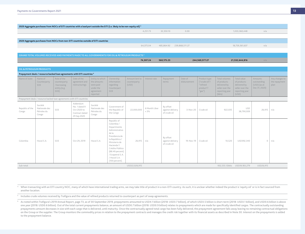|                          | 2020 Aggregate purchases from NOCs of EITI countries with a load port outside the EITI (i.e. likely to be non-equity oil) 4 |                                                                    |                                                                                                             |                                                                                   |                                                                                                                                                                                                                                    |                                         |                        |                                               |                         |                                                                  |                                                                                             |                                                                                          |                                                         |                                         |
|--------------------------|-----------------------------------------------------------------------------------------------------------------------------|--------------------------------------------------------------------|-------------------------------------------------------------------------------------------------------------|-----------------------------------------------------------------------------------|------------------------------------------------------------------------------------------------------------------------------------------------------------------------------------------------------------------------------------|-----------------------------------------|------------------------|-----------------------------------------------|-------------------------|------------------------------------------------------------------|---------------------------------------------------------------------------------------------|------------------------------------------------------------------------------------------|---------------------------------------------------------|-----------------------------------------|
|                          |                                                                                                                             |                                                                    |                                                                                                             |                                                                                   |                                                                                                                                                                                                                                    |                                         | 4.251.73               | 32.350.10                                     | 0.00                    |                                                                  |                                                                                             | 1,033,360,448                                                                            | n/a                                                     |                                         |
|                          |                                                                                                                             |                                                                    |                                                                                                             |                                                                                   |                                                                                                                                                                                                                                    |                                         |                        |                                               |                         |                                                                  |                                                                                             |                                                                                          |                                                         |                                         |
|                          |                                                                                                                             |                                                                    | 2020 Aggregate purchases from NOCs from non-EITI countries outside of EITI countries                        |                                                                                   |                                                                                                                                                                                                                                    |                                         |                        |                                               |                         |                                                                  |                                                                                             |                                                                                          |                                                         |                                         |
|                          |                                                                                                                             |                                                                    |                                                                                                             |                                                                                   |                                                                                                                                                                                                                                    |                                         | 64.375.04              | 485,864.92 239,868,511.27                     |                         |                                                                  |                                                                                             | 18,759,361,637                                                                           | n/a                                                     |                                         |
|                          |                                                                                                                             |                                                                    |                                                                                                             |                                                                                   |                                                                                                                                                                                                                                    |                                         |                        |                                               |                         |                                                                  |                                                                                             |                                                                                          |                                                         |                                         |
|                          |                                                                                                                             |                                                                    | GRAND TOTAL VOLUMES RECEIVED AND PAYMENTS MADE TO ALL GOVERNMENTS FOR OIL & PETROLEUM PRODUCTS <sup>5</sup> |                                                                                   |                                                                                                                                                                                                                                    |                                         |                        |                                               |                         |                                                                  |                                                                                             |                                                                                          |                                                         |                                         |
|                          |                                                                                                                             |                                                                    |                                                                                                             |                                                                                   |                                                                                                                                                                                                                                    |                                         | 74,307.24              | 560,175.23                                    |                         | 244,569,577.27                                                   |                                                                                             | 21,532,644,816                                                                           | n/a                                                     |                                         |
|                          | <b>OIL &amp; PETROLEUM PRODUCTS</b>                                                                                         |                                                                    |                                                                                                             |                                                                                   |                                                                                                                                                                                                                                    |                                         |                        |                                               |                         |                                                                  |                                                                                             |                                                                                          |                                                         |                                         |
|                          |                                                                                                                             |                                                                    | Prepayment deals / resource backed loan agreements with EITI countries 6                                    |                                                                                   |                                                                                                                                                                                                                                    |                                         |                        |                                               |                         |                                                                  |                                                                                             |                                                                                          |                                                         |                                         |
| Name of state            | Name of<br>Counterparty<br>SOE                                                                                              | Role of the<br>counterparty<br>/ borrowing<br>entity (e.g.<br>SOE) | Date of the<br>agreement and<br>restructurings                                                              | Entity to which<br>the amounts<br>were paid<br>under the<br>agreement<br>reported | Ownership<br>information<br>regarding<br>Counterpart<br>SOE                                                                                                                                                                        | Amount lent to<br>counterparty<br>(USD) | Interest rate          | Repayment<br>terms                            | Date of<br>disbursement | Product type<br>("crude oil"/<br>"refined<br>product"/<br>"gas") | Total volumes<br>of products<br>delivered by<br>seller over the<br>reporting year<br>(bbls) | Total value<br>of products<br>delivered by<br>seller over the<br>reporting year<br>(USD) | Amounts<br>outstanding<br>(USD) (as at<br>Dec 31, 2020) | Any changes to<br>the repayment<br>plan |
|                          |                                                                                                                             |                                                                    | Prepayment deals / resource backed loan agreements with EITI countries                                      |                                                                                   |                                                                                                                                                                                                                                    |                                         |                        |                                               |                         |                                                                  |                                                                                             |                                                                                          |                                                         |                                         |
| Republic of the<br>Congo | Société<br>Nationale des<br>Pétroles du<br>Congo                                                                            | SOE                                                                | Addendum<br>No. 1 dated 9<br>Oct 2020 to<br>Contract dated<br>29 Sep 2020                                   | Société<br>Nationale des<br>Pétroles du<br>Congo                                  | Government of<br>the Republic of<br>the Congo                                                                                                                                                                                      | 22,000,000                              | 6 Month Libor<br>$+3%$ | By offset<br>against delivery<br>of crude oil | $3-Nov-20$              | Crude oil                                                        | 922,035                                                                                     | <b>USD</b><br>38,790,939                                                                 | $26,915$   n/a                                          |                                         |
| Colombia                 | Hocol S.A.                                                                                                                  | SOE                                                                | Oct 29, 2019                                                                                                | Hocol S.A.                                                                        | Republic of<br>Colombia /<br>Departmento<br>Administrativo<br>de la<br>Presidencia de<br>la República /<br>Ministerio de<br>Hacienda Y<br>Crédito Público<br>(88.49 percent)<br>/ Ecopetrol S.A.<br>/ Hocol S.A.<br>(100 percent). | 26,915                                  | n/a                    | By offset<br>against delivery<br>of crude oil | 19-Nov-19               | Crude oil                                                        | 10,520                                                                                      | USD392,340                                                                               | $\Omega$                                                | n/a                                     |
| Sub-total                |                                                                                                                             |                                                                    |                                                                                                             |                                                                                   |                                                                                                                                                                                                                                    | USD22,026,915                           |                        |                                               |                         |                                                                  |                                                                                             | 932,555.12bbls USD39,183,279                                                             | USD26,915                                               |                                         |

4 When transacting with an EITI country NOC, many of which have international trading arms, we may take title of product in a non-EITI country. As such, it is unclear whether indeed the product is 'equity oil' or is in fac another location.

<sup>5</sup> Includes crude volumes received by Trafigura and the value of refined products returned to counterpart as part of swap agreements.

<sup>6</sup> As noted within Trafigura's 2019 Annual Report, page 73, as of 30 September 2019, prepayments amounted to USD4.1 billion (2018: USD3.7 billion), of which USD3.5 billion is short-term (2018: USD3.1 billion), and USD0.6 one year (2018: USD0.6 billion). Out of the total current prepayments balance, an amount of USD0.7 billion (2018: USD0.9 billion) relates to prepayments which are made for specifically identified cargos. The contractually prepayments amount decreases in size with each cargo that is delivered, until maturity. Once the contractually agreed total cargo has been fully delivered, the prepayment agreement falls away leaving no remaining contractu on the Group or the supplier. The Group monitors the commodity prices in relation to the prepayment contracts and manages the credit risk together with its financial assets as described in Note 30. Interest on the prepayme to the prepayment balance.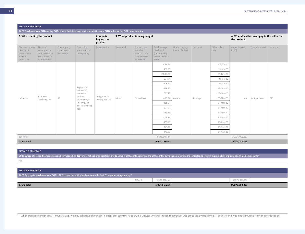| <b>METALS &amp; MINERALS</b>                                            |                                                                                 |                                           |                                                                                                                         |                                    |            |                                                                                 |                                                                        |                                   |           |                        |                       |                   |                                              |  |
|-------------------------------------------------------------------------|---------------------------------------------------------------------------------|-------------------------------------------|-------------------------------------------------------------------------------------------------------------------------|------------------------------------|------------|---------------------------------------------------------------------------------|------------------------------------------------------------------------|-----------------------------------|-----------|------------------------|-----------------------|-------------------|----------------------------------------------|--|
|                                                                         |                                                                                 |                                           | 2020 Purchases from EITI country SOEs where the initial load port is inside the same EITI implementing SOE home country |                                    |            |                                                                                 |                                                                        |                                   |           |                        |                       |                   |                                              |  |
| 1. Who is selling the product                                           |                                                                                 |                                           |                                                                                                                         | 2. Who is<br>buying the<br>product |            | 3. What product is being bought                                                 |                                                                        |                                   |           |                        | the product           |                   | 4. What does the buyer pay to the seller for |  |
| Name of country<br>of seller of<br>Government<br>share of<br>production | Name of<br>counterparty<br>SOE or seller of<br>the state share<br>of production | Counterparty<br>state owned<br>percentage | Ownership<br>information of<br>selling entity                                                                           | <b>Buying entity</b>               | Base metal | Product type<br>(metal or<br>mineral / "ore",<br>"concentrates"<br>or "refined" | Total tonnage<br>purchased<br>(thousand dry<br>metric tonnes-<br>kdmt) | Grade / quality<br>(name of mine) | Load port | Bill of lading<br>date | Amounts paid<br>(USD) | Type of contract  | Incoterms                                    |  |
|                                                                         |                                                                                 |                                           |                                                                                                                         |                                    |            |                                                                                 | 883.64                                                                 |                                   |           | 08-jan-20              |                       |                   |                                              |  |
|                                                                         |                                                                                 |                                           |                                                                                                                         |                                    |            |                                                                                 | 426.79                                                                 |                                   |           | $14$ -Jan-20           |                       |                   |                                              |  |
|                                                                         |                                                                                 |                                           |                                                                                                                         |                                    |            |                                                                                 | 2,809.26                                                               |                                   |           | $31$ -Jan-.20          |                       |                   |                                              |  |
|                                                                         |                                                                                 |                                           |                                                                                                                         |                                    |            |                                                                                 | 937.74                                                                 |                                   |           | $31$ -Jan-20           |                       |                   |                                              |  |
|                                                                         |                                                                                 |                                           |                                                                                                                         |                                    |            |                                                                                 | 906.91                                                                 |                                   |           | $31$ -Jan-20           |                       |                   |                                              |  |
|                                                                         |                                                                                 |                                           | Republic of<br>Indonesia /                                                                                              |                                    |            |                                                                                 | 428.37                                                                 |                                   |           | 25-Mar-20              |                       |                   |                                              |  |
|                                                                         | PT Aneka                                                                        |                                           | Indonesia<br>Asahan                                                                                                     | Trafigura Asia                     |            |                                                                                 | 877.77                                                                 |                                   |           | 23-Mar-20              |                       |                   |                                              |  |
| Indonesia                                                               | Tambang Tbk                                                                     | 65                                        | Aluminium, PT                                                                                                           | Trading Pte. Ltd.                  | Nickel     | Ferro alloys                                                                    | 430.24                                                                 | Antam                             | Surabaya  | 25-Mar-20              |                       | n/a Spot purchase | CIF                                          |  |
|                                                                         |                                                                                 |                                           | (Inalum) / PT<br>Aneka Tambang                                                                                          |                                    |            |                                                                                 | 438.31                                                                 |                                   |           | 31-Mar-20              |                       |                   |                                              |  |
|                                                                         |                                                                                 |                                           | TBK                                                                                                                     |                                    |            |                                                                                 | 327.31<br>435.83                                                       |                                   |           | 31-Mar-20<br>31-Mar-20 |                       |                   |                                              |  |
|                                                                         |                                                                                 |                                           |                                                                                                                         |                                    |            |                                                                                 | 322.34                                                                 |                                   |           | 31-Mar-20              |                       |                   |                                              |  |
|                                                                         |                                                                                 |                                           |                                                                                                                         |                                    |            |                                                                                 | 470.58                                                                 |                                   |           | 19-Aug-20              |                       |                   |                                              |  |
|                                                                         |                                                                                 |                                           |                                                                                                                         |                                    |            |                                                                                 | 471.49                                                                 |                                   |           | 31-Aug-20              |                       |                   |                                              |  |
|                                                                         |                                                                                 |                                           |                                                                                                                         |                                    |            |                                                                                 | 478.67                                                                 |                                   |           | 31-Aug-20              |                       |                   |                                              |  |
| Sub-total                                                               |                                                                                 |                                           |                                                                                                                         |                                    |            |                                                                                 | 10,645.24kdmt                                                          |                                   |           |                        | USD26,053,253         |                   |                                              |  |
| <b>Grand Total</b>                                                      |                                                                                 |                                           |                                                                                                                         |                                    |            |                                                                                 | 10,645.24kdmt                                                          |                                   |           |                        | USD26,053,253         |                   |                                              |  |

**METALS & MINERALS**

2020 Swaps of ores and concentrates and corresponding delivery of refined products from and to SOEs in EITI countries (where the EITI country owns the SOE) where the initial load port is in the same EITI implementing SOE h n/a

| METALS & MINERALS                                                                                                          |         |              |               |  |
|----------------------------------------------------------------------------------------------------------------------------|---------|--------------|---------------|--|
| 1 2020 Aggregate purchases from SOEs of EITI countries with a load port outside the EITI implementing country <sup>1</sup> |         |              |               |  |
|                                                                                                                            | Refined | 5.824.96kdmt | USD75,392,457 |  |
| <b>Grand Total</b>                                                                                                         |         | 5,824.96kdmt | USD75,392,457 |  |

<sup>1</sup> When transacting with an EITI country SOE, we may take title of product in a non-EITI country. As such, it is unclear whether indeed the product was produced by the same EITI country or it was in fact sourced from anot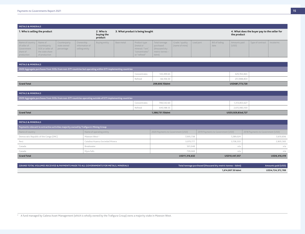| <b>METALS &amp; MINERALS</b>                                                            |                                                                      |                                           |                                               |                                    |                                 |                                                                                 |                                                                            |                                   |           |                        |                                                             |                              |  |
|-----------------------------------------------------------------------------------------|----------------------------------------------------------------------|-------------------------------------------|-----------------------------------------------|------------------------------------|---------------------------------|---------------------------------------------------------------------------------|----------------------------------------------------------------------------|-----------------------------------|-----------|------------------------|-------------------------------------------------------------|------------------------------|--|
| 1. Who is selling the product                                                           |                                                                      |                                           |                                               | 2. Who is<br>buying the<br>product | 3. What product is being bought |                                                                                 |                                                                            |                                   |           |                        | 4. What does the buyer pay to the seller for<br>the product |                              |  |
| Name of country $\vert$ Name of<br>of seller of<br>Government<br>share of<br>production | counterparty<br>SOE or seller of<br>the state share<br>of production | Counterparty<br>state owned<br>percentage | Ownership<br>information of<br>selling entity | Buying entity                      | Base metal                      | Product type<br>(metal or<br>mineral / "ore",<br>"concentrates"<br>or "refined" | Total tonnage<br>purchased<br>(thousand dry<br>$m$ etric tonnes –<br>kdmt) | Grade / quality<br>(name of mine) | Load port | Bill of lading<br>date | Amounts paid<br>(USD)                                       | Type of contract   Incoterms |  |

| <b>METALS &amp; MINERALS</b>                                                                                |              |                |                |  |  |  |  |  |  |
|-------------------------------------------------------------------------------------------------------------|--------------|----------------|----------------|--|--|--|--|--|--|
| 2020 Aggregate purchases from SOEs from non-EITI countries but operating within EITI implementing countries |              |                |                |  |  |  |  |  |  |
|                                                                                                             | Concentrates | 143.499.65     | 429,784,865    |  |  |  |  |  |  |
|                                                                                                             | Refined      | 66,106.50      | 251,988,854    |  |  |  |  |  |  |
| <b>Grand Total</b>                                                                                          |              | 209,606.15kdmt | USD681,773,720 |  |  |  |  |  |  |

| <b>METALS &amp; MINERALS</b>                                                                                |                            |  |                   |  |  |  |  |  |
|-------------------------------------------------------------------------------------------------------------|----------------------------|--|-------------------|--|--|--|--|--|
| 2020 Aggregate purchases from SOEs from non-EITI countries operating outside of EITI implementing countries |                            |  |                   |  |  |  |  |  |
|                                                                                                             | 748,542.60<br>Concentrates |  | 1,313,853,627     |  |  |  |  |  |
|                                                                                                             | Refined<br>640.188.55      |  | 2,615,983,100     |  |  |  |  |  |
| <b>Grand Total</b>                                                                                          | 1,388,731.15kdmt           |  | USD3,929,83s6,727 |  |  |  |  |  |

| <b>METALS &amp; MINERALS</b>                                                          |                                 |                                   |                                   |                                   |  |  |  |  |  |  |  |
|---------------------------------------------------------------------------------------|---------------------------------|-----------------------------------|-----------------------------------|-----------------------------------|--|--|--|--|--|--|--|
| Payments relevant to extractive activities majority owned by Trafigura's Mining Group |                                 |                                   |                                   |                                   |  |  |  |  |  |  |  |
| Name of country                                                                       | Name of operating entity        | 2020 Payments to Government (USD) | 2019 Payments to Government (USD) | 2018 Payments to Government (USD) |  |  |  |  |  |  |  |
| Democratic Republic of the Congo (DRC)                                                | Mawson West <sup>2</sup>        | 7,005,738                         | 7,289,024                         | 3,610,836                         |  |  |  |  |  |  |  |
| Perú                                                                                  | Catalina Huanca Sociedad Minera | 3,070,777                         | 3,158,333                         | 2,805,583                         |  |  |  |  |  |  |  |
| Canada                                                                                | Breakwater                      | 501,048                           | n/a                               | n/a                               |  |  |  |  |  |  |  |
| Canada                                                                                | Myra Falls                      | 739,069                           | n/a                               | n/a                               |  |  |  |  |  |  |  |
| <b>Grand Total</b>                                                                    |                                 | USD11,316,632                     | USD10,447,357                     | USD6,416,419                      |  |  |  |  |  |  |  |

| <b>GRAND TOTAL VOLUMES RECEIVED &amp; PAYMENTS MADE TO ALL GOVERNMENTS FOR METALS. MINERALS</b> | Total tonnage purchased (thousand dry metric tonnes - kdmt) | Amounts paid (USD) |
|-------------------------------------------------------------------------------------------------|-------------------------------------------------------------|--------------------|
|                                                                                                 | 1,614,807.50 kdmt                                           | USD4,724,372,789   |

<sup>2</sup> A fund managed by Galena Asset Management (which is wholly owned by the Trafigura Group) owns a majority stake in Mawson West.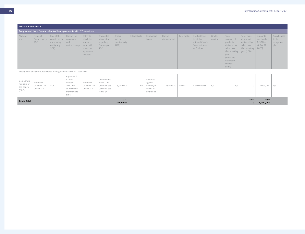|                                                 | <b>METALS &amp; MINERALS</b>                                            |                                                                    |                                                                                    |                                                                                      |                                                                        |                                            |               |                                                               |                         |            |                                                                                 |                    |                                                                                                                                              |                                                                                          |                                                             |                                            |
|-------------------------------------------------|-------------------------------------------------------------------------|--------------------------------------------------------------------|------------------------------------------------------------------------------------|--------------------------------------------------------------------------------------|------------------------------------------------------------------------|--------------------------------------------|---------------|---------------------------------------------------------------|-------------------------|------------|---------------------------------------------------------------------------------|--------------------|----------------------------------------------------------------------------------------------------------------------------------------------|------------------------------------------------------------------------------------------|-------------------------------------------------------------|--------------------------------------------|
|                                                 | Pre-payment deals / resource backed loan agreements with EITI countries |                                                                    |                                                                                    |                                                                                      |                                                                        |                                            |               |                                                               |                         |            |                                                                                 |                    |                                                                                                                                              |                                                                                          |                                                             |                                            |
| Name of<br>state                                | Name of<br>Counterparty<br>SOE                                          | Role of the<br>counterparty<br>/ borrowing<br>entity (e.g.<br>SOE) | Date of the<br>agreement<br>and<br>restructurings                                  | Entity to<br>which the<br>amounts<br>were paid<br>under the<br>agreement<br>reported | Ownership<br>information<br>regarding<br>Counterpart<br>SOE            | Amount<br>lent to<br>counterparty<br>(USD) | Interest rate | Repayment<br>terms                                            | Date of<br>disbursement | Base metal | Product type<br>(metal or<br>mineral / "ore",<br>"concentrates"<br>or "refined" | Grade /<br>quality | Total<br>volumes of<br>products<br>delivered by<br>seller over<br>the reporting<br>year<br>(thousand<br>dry metric<br>$t$ onnes $-$<br>kdmt) | Total value<br>of products<br>delivered by<br>seller over<br>the reporting<br>year (USD) | Amounts<br>outstanding<br>$(USD)$ (as<br>at Dec 31.<br>2020 | Any changes<br>to the<br>repayment<br>plan |
|                                                 | Prepayment deals/resource backed loan agreements with EITI countries    |                                                                    |                                                                                    |                                                                                      |                                                                        |                                            |               |                                                               |                         |            |                                                                                 |                    |                                                                                                                                              |                                                                                          |                                                             |                                            |
| Democratic<br>Republic of<br>the Congo<br>(DRC) | Entreprise<br>Generale Du<br>Cobalt S.A.                                | SOE                                                                | Agreement<br>dated 27<br>October<br>2020 and<br>as amended<br>from time to<br>time | Entreprise<br>Generale Du<br>Cobalt S.A.                                             | Government<br>of DRC / La<br>Generale des<br>Carrieres des<br>Mines SA | 5,000,000                                  | 6%            | By offset<br>against<br>delivery of<br>cobalt in<br>hydroxide | 28-Dec-20               | Cobalt     | Concentrates                                                                    | n/a                | n/a                                                                                                                                          | $\bigcap$                                                                                | 5,000,000                                                   | n/a                                        |
| <b>Grand Total</b>                              |                                                                         |                                                                    |                                                                                    |                                                                                      |                                                                        | <b>USD</b><br>5,000,000                    |               |                                                               |                         |            |                                                                                 |                    |                                                                                                                                              | <b>USD</b><br>$\Omega$                                                                   | <b>USD</b><br>5,000,000                                     |                                            |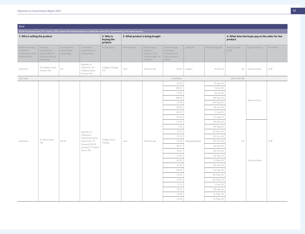| <b>BULK</b>                                                          |                                                                                 |                                           |                                                                                                                         |                                    |                      |                                                                                 |                                                                        |                |                        |                       |                                                  |           |
|----------------------------------------------------------------------|---------------------------------------------------------------------------------|-------------------------------------------|-------------------------------------------------------------------------------------------------------------------------|------------------------------------|----------------------|---------------------------------------------------------------------------------|------------------------------------------------------------------------|----------------|------------------------|-----------------------|--------------------------------------------------|-----------|
|                                                                      |                                                                                 |                                           | 2020 Purchases from EITI country SOEs where the initial load port is inside the same EITI implementing SOE home country |                                    |                      |                                                                                 |                                                                        |                |                        |                       |                                                  |           |
| 1. Who is selling the product                                        |                                                                                 |                                           |                                                                                                                         | 2. Who is<br>buying the<br>product |                      | 3. What product is being bought                                                 |                                                                        |                |                        | product               | 4. What does the buyer pay to the seller for the |           |
| Name of country<br>of seller of<br>Government share<br>of production | Name of<br>counterparty<br>SOE or seller of<br>the state share of<br>production | Counterparty<br>state owned<br>percentage | Ownership<br>information of<br>selling entity                                                                           | Buying entity                      | <b>Bulk material</b> | Product type<br>(metal or<br>mineral / "ore",<br>"concentrates" or<br>"refined" | Total tonnage<br>purchased<br>(thousand dry<br>metric tonnes-<br>kdmt) | Load port      | Bill of lading date    | Amounts paid<br>(USD) | Type of contract                                 | Incoterms |
| Indonesia                                                            | Pt Krakatau Steel<br>Persero Tbk                                                | 80                                        | Republic of<br>Indonesia / Pt<br>Krakatau Steel<br>Persero Tbk                                                          | Trafigura Trading<br>PTE           | Coal                 | Thermal coal                                                                    | 33.00                                                                  | Cilegon        | 19. Mar. 20            | n/a                   | Spot purchase                                    | FOB       |
| Sub-total                                                            |                                                                                 |                                           |                                                                                                                         |                                    |                      |                                                                                 | 33.00kdmt                                                              |                |                        | USD7,426,428          |                                                  |           |
|                                                                      |                                                                                 |                                           |                                                                                                                         |                                    |                      |                                                                                 | 76.20                                                                  |                | 27-Apr-20              |                       |                                                  |           |
|                                                                      |                                                                                 |                                           |                                                                                                                         |                                    |                      |                                                                                 | 80.04                                                                  |                | 12-Jul-20              |                       |                                                  |           |
|                                                                      |                                                                                 |                                           |                                                                                                                         |                                    |                      |                                                                                 | 73.65                                                                  |                | 26-Jul-20              |                       |                                                  |           |
|                                                                      |                                                                                 |                                           |                                                                                                                         |                                    |                      |                                                                                 | 80.00<br>75.58                                                         |                | 09-Sep-20<br>04-Aug-20 |                       | Spot purchase                                    |           |
|                                                                      |                                                                                 |                                           |                                                                                                                         |                                    |                      |                                                                                 | 80.10                                                                  |                | 30-Jun-20              |                       |                                                  |           |
|                                                                      |                                                                                 |                                           |                                                                                                                         |                                    |                      |                                                                                 | 84.25                                                                  |                | 21-Jul-20              |                       |                                                  |           |
|                                                                      |                                                                                 |                                           |                                                                                                                         |                                    |                      |                                                                                 | 70.00                                                                  |                | 21-Aug-20              |                       |                                                  |           |
|                                                                      |                                                                                 |                                           |                                                                                                                         |                                    |                      |                                                                                 |                                                                        | 75.40          |                        | 09-Feb-20             |                                                  |           |
|                                                                      |                                                                                 |                                           |                                                                                                                         |                                    |                      |                                                                                 | 7.20                                                                   |                | 29-Aug-20              |                       |                                                  |           |
|                                                                      |                                                                                 |                                           | Republic of                                                                                                             |                                    |                      |                                                                                 | 72.77                                                                  |                | 24-Nov-20              |                       |                                                  |           |
|                                                                      |                                                                                 |                                           | Indonesia /<br>Indonesia Asahan                                                                                         |                                    |                      |                                                                                 | 72.73                                                                  |                | 25-Oct-20              |                       |                                                  |           |
| Indonesia                                                            | Pt. Bukit Asam<br>Tbk                                                           | 65.93                                     | Aluminium, PT                                                                                                           | Trafigura Asia<br>Trading          | Coal                 | Thermal coal                                                                    | 75.00                                                                  | Tanjung Kampeh | 30-Oct-20              | n/a                   |                                                  | FOB       |
|                                                                      |                                                                                 |                                           | (Inalum) (65.93<br>percent) / PT Bukit                                                                                  |                                    |                      |                                                                                 | 80.17                                                                  |                | $04$ -Jan-20           |                       |                                                  |           |
|                                                                      |                                                                                 |                                           | Asam TBK                                                                                                                |                                    |                      |                                                                                 | 76.37                                                                  |                | 04-Feb-20              |                       |                                                  |           |
|                                                                      |                                                                                 |                                           |                                                                                                                         |                                    |                      |                                                                                 | 75.99                                                                  |                | 04-Apr-20              |                       |                                                  |           |
|                                                                      |                                                                                 |                                           |                                                                                                                         |                                    |                      |                                                                                 | 50.00                                                                  |                | 31-May-20              |                       | Term purchase                                    |           |
|                                                                      |                                                                                 |                                           |                                                                                                                         |                                    |                      |                                                                                 | 47.35                                                                  |                | 09-Feb-20              |                       |                                                  |           |
|                                                                      |                                                                                 |                                           |                                                                                                                         |                                    |                      |                                                                                 | 50.00                                                                  |                | 14-Mar-20              |                       |                                                  |           |
|                                                                      |                                                                                 |                                           |                                                                                                                         |                                    |                      |                                                                                 | 72.55<br>51.00                                                         |                | 02-May-20<br>09-May-20 |                       |                                                  |           |
|                                                                      |                                                                                 |                                           |                                                                                                                         |                                    |                      |                                                                                 | 71.13                                                                  |                | 13-Jul-20              |                       |                                                  |           |
|                                                                      |                                                                                 |                                           |                                                                                                                         |                                    |                      |                                                                                 | 70.37                                                                  |                | 29-Sep-20              |                       |                                                  |           |
|                                                                      |                                                                                 |                                           |                                                                                                                         |                                    |                      |                                                                                 | 70.96                                                                  |                | 16-May-20              |                       |                                                  |           |
|                                                                      |                                                                                 |                                           |                                                                                                                         |                                    |                      |                                                                                 | 73.49                                                                  |                | 14-May-20              |                       |                                                  |           |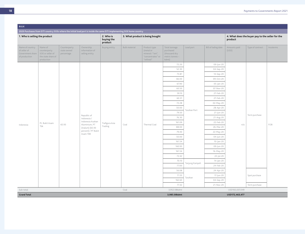| <b>BULK</b>                                                          |                                                                                 |                                           |                                                                                                                         |                                    |                      |                                                                                 |                                                                        |                |                        |                       |                                                  |           |
|----------------------------------------------------------------------|---------------------------------------------------------------------------------|-------------------------------------------|-------------------------------------------------------------------------------------------------------------------------|------------------------------------|----------------------|---------------------------------------------------------------------------------|------------------------------------------------------------------------|----------------|------------------------|-----------------------|--------------------------------------------------|-----------|
|                                                                      |                                                                                 |                                           | 2020 Purchases from EITI country SOEs where the initial load port is inside the same EITI implementing SOE home country |                                    |                      |                                                                                 |                                                                        |                |                        |                       |                                                  |           |
| 1. Who is selling the product                                        |                                                                                 |                                           |                                                                                                                         | 2. Who is<br>buying the<br>product |                      | 3. What product is being bought                                                 |                                                                        |                |                        | product               | 4. What does the buyer pay to the seller for the |           |
| Name of country<br>of seller of<br>Government share<br>of production | Name of<br>counterparty<br>SOE or seller of<br>the state share of<br>production | Counterparty<br>state owned<br>percentage | Ownership<br>information of<br>selling entity                                                                           | Buying entity                      | <b>Bulk material</b> | Product type<br>(metal or<br>mineral / "ore",<br>"concentrates" or<br>"refined" | Total tonnage<br>purchased<br>(thousand dry<br>metric tonnes-<br>kdmt) | Load port      | Bill of lading date    | Amounts paid<br>(USD) | Type of contract                                 | Incoterms |
|                                                                      |                                                                                 |                                           |                                                                                                                         |                                    |                      |                                                                                 | 72.20                                                                  |                | 09-Jun-20              |                       |                                                  |           |
|                                                                      |                                                                                 |                                           |                                                                                                                         |                                    |                      |                                                                                 | 52.30                                                                  |                | 04-Sep-20              |                       |                                                  |           |
|                                                                      |                                                                                 |                                           |                                                                                                                         |                                    |                      |                                                                                 | 73.81                                                                  |                | 14-Sep-20              |                       |                                                  |           |
|                                                                      |                                                                                 |                                           |                                                                                                                         |                                    |                      |                                                                                 | 66.00                                                                  |                | 09-Oct-20              |                       |                                                  |           |
|                                                                      |                                                                                 |                                           |                                                                                                                         |                                    |                      |                                                                                 | 67.90                                                                  |                | 05-Jan-20              |                       |                                                  |           |
|                                                                      |                                                                                 |                                           |                                                                                                                         |                                    |                      | 60.50                                                                           |                                                                        | 07-Nov-20      |                        |                       |                                                  |           |
|                                                                      |                                                                                 |                                           |                                                                                                                         |                                    |                      | Thermal Coal                                                                    | 59.10                                                                  |                | 27-Feb-20              |                       |                                                  |           |
|                                                                      |                                                                                 |                                           |                                                                                                                         | Trafigura Asia<br>Trading          | Coal                 |                                                                                 | 60.31                                                                  |                | 27-Feb-20              |                       |                                                  |           |
|                                                                      |                                                                                 |                                           |                                                                                                                         |                                    |                      |                                                                                 | 72.28                                                                  |                | 02-May-20              |                       |                                                  |           |
|                                                                      |                                                                                 |                                           |                                                                                                                         |                                    |                      |                                                                                 | 50.00                                                                  | Tarahan Port   | 28-Apr-20              |                       |                                                  |           |
|                                                                      |                                                                                 |                                           | Republic of                                                                                                             |                                    |                      |                                                                                 | 79.50                                                                  |                | 21-Jun-20              |                       | Term purchase                                    |           |
|                                                                      |                                                                                 | 65.93                                     | Indonesia /<br>Indonesia Asahan                                                                                         |                                    |                      |                                                                                 | 76.30                                                                  |                | 21-Aug-20              |                       |                                                  |           |
| Indonesia                                                            | Pt. Bukit Asam<br>Tbk                                                           |                                           | Aluminium, PT                                                                                                           |                                    |                      |                                                                                 | 161.09<br>88.00                                                        |                | 22-Feb-20<br>26-Mar-20 | n/a                   |                                                  | FOB       |
|                                                                      |                                                                                 |                                           | (Inalum) (65.93<br>percent) / PT Bukit                                                                                  |                                    |                      |                                                                                 | 79.40                                                                  |                | 22-May-20              |                       |                                                  |           |
|                                                                      |                                                                                 |                                           | Asam TBK                                                                                                                |                                    |                      |                                                                                 | 50.00                                                                  |                | $04$ -Jun-20           |                       |                                                  |           |
|                                                                      |                                                                                 |                                           |                                                                                                                         |                                    |                      |                                                                                 | 161.54                                                                 |                | 10-Jan-20              |                       |                                                  |           |
|                                                                      |                                                                                 |                                           |                                                                                                                         |                                    |                      |                                                                                 | 160.93                                                                 |                | 09-Jun-20              |                       |                                                  |           |
|                                                                      |                                                                                 |                                           |                                                                                                                         |                                    |                      |                                                                                 | 161.54                                                                 |                | 16-May-20              |                       |                                                  |           |
|                                                                      |                                                                                 |                                           |                                                                                                                         |                                    |                      |                                                                                 | 72.42                                                                  |                | 22-Jul-20              |                       |                                                  |           |
|                                                                      |                                                                                 |                                           |                                                                                                                         |                                    |                      |                                                                                 | 70.10                                                                  |                | 14-Jan-20              |                       |                                                  |           |
|                                                                      |                                                                                 |                                           |                                                                                                                         |                                    |                      |                                                                                 | 77.00                                                                  | Tanjung Kampeh | 24-Feb-20              |                       |                                                  |           |
|                                                                      |                                                                                 |                                           |                                                                                                                         |                                    |                      |                                                                                 | 56.08                                                                  |                | 24-Apr-20              |                       |                                                  |           |
|                                                                      |                                                                                 |                                           |                                                                                                                         |                                    |                      |                                                                                 | 71.55                                                                  |                | 17-Jun-20              |                       | Spot purchase                                    |           |
|                                                                      |                                                                                 |                                           |                                                                                                                         |                                    |                      |                                                                                 | 162.63                                                                 | Tarahan        | $04-Sep-20$            |                       |                                                  |           |
|                                                                      |                                                                                 |                                           |                                                                                                                         |                                    |                      |                                                                                 | 77.32                                                                  |                | 21-Nov-20              |                       | Term purchase                                    |           |
| Sub-total                                                            |                                                                                 |                                           |                                                                                                                         |                                    | Coal                 |                                                                                 | 3,952.08kdmt                                                           |                |                        | USD165,037,049        |                                                  |           |
| <b>Grand Total</b>                                                   |                                                                                 |                                           |                                                                                                                         |                                    |                      |                                                                                 | 3,985.08kdmt                                                           |                |                        | USD172,463,477        |                                                  |           |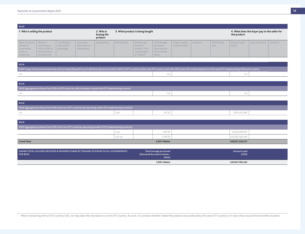| <b>BULK</b>                                                                       |                                                                      |                                           |                                               |                                    |                                 |                                                                                 |                                                                              |                                   |           |                        |                                                             |                  |           |
|-----------------------------------------------------------------------------------|----------------------------------------------------------------------|-------------------------------------------|-----------------------------------------------|------------------------------------|---------------------------------|---------------------------------------------------------------------------------|------------------------------------------------------------------------------|-----------------------------------|-----------|------------------------|-------------------------------------------------------------|------------------|-----------|
| 1. Who is selling the product                                                     |                                                                      |                                           |                                               | 2. Who is<br>buying the<br>product | 3. What product is being bought |                                                                                 |                                                                              |                                   |           |                        | 4. What does the buyer pay to the seller for<br>the product |                  |           |
| Name of country   Name of<br>of seller of<br>Government<br>share of<br>production | counterparty<br>SOE or seller of<br>the state share<br>of production | Counterparty<br>state owned<br>percentage | Ownership<br>information of<br>selling entity | <b>Buying entity</b>               | <b>Bulk material</b>            | Product type<br>(metal or<br>mineral / "ore",<br>"concentrates"<br>or "refined" | Total tonnage<br>purchased<br>thousand dry<br>$ $ metric tonnes $-$<br>kdmt) | Grade / quality<br>(name of mine) | Load port | Bill of lading<br>date | Amounts paid<br>(USD)                                       | Type of contract | Incoterms |

| <b>BULK</b>                                                                                                                                                                                                                    |  |  |  |  |  |  |  |  |  |
|--------------------------------------------------------------------------------------------------------------------------------------------------------------------------------------------------------------------------------|--|--|--|--|--|--|--|--|--|
| 2020 Swaps of ores and concentrates and corresponding delivery of refined products from and to SOEs in EITI countries (where the EITI country owns the SOE) where the initial load port is in the same EITI implementing SOE h |  |  |  |  |  |  |  |  |  |
|                                                                                                                                                                                                                                |  |  |  |  |  |  |  |  |  |

| <b>BULK</b>                                                                                                                |  |  |  |  |  |  |  |  |
|----------------------------------------------------------------------------------------------------------------------------|--|--|--|--|--|--|--|--|
| 1 2020 Aggregate purchases from SOEs of EITI countries with a load port outside the EITI implementing country <sup>1</sup> |  |  |  |  |  |  |  |  |
|                                                                                                                            |  |  |  |  |  |  |  |  |

| <b>BULK</b>                                                                                                 |  |  |  |              |  |  |  |  |  |  |  |
|-------------------------------------------------------------------------------------------------------------|--|--|--|--------------|--|--|--|--|--|--|--|
| 2020 Aggregate purchases from SOEs from non-EITI countries but operating within EITI implementing countries |  |  |  |              |  |  |  |  |  |  |  |
| n/a                                                                                                         |  |  |  | USD3,415,384 |  |  |  |  |  |  |  |

| <b>BULK</b>                                                                                                 |          |  |              |  |                |
|-------------------------------------------------------------------------------------------------------------|----------|--|--------------|--|----------------|
| 2020 Aggregate purchases from SOEs from non-EITI countries operating outside of EITI implementing countries |          |  |              |  |                |
|                                                                                                             | Coal     |  | .407.81      |  | USD64,839,991  |
|                                                                                                             | Iron ore |  | 1,599.93     |  | USD186,480,580 |
| <b>Grand Total</b>                                                                                          |          |  | 3,007.74kdmt |  | USD251,320,571 |

| GRAND TOTAL VOLUMES RECEIVED & PAYMENTS MADE BY TRADING DIVISION TO ALL GOVERNMENTS<br><b>FOR BULK</b> | Total tonnage purchased<br>(thousand dry metric tonnes -<br>kdmt) | Amounts paid<br>(USD) |  |
|--------------------------------------------------------------------------------------------------------|-------------------------------------------------------------------|-----------------------|--|
|                                                                                                        | 7.095.14kdmt                                                      | USD427,199,432        |  |

Vhen transacting with an EITI country SOE, we may take title of product in a non-EITI country. As such, it is unclear whether indeed the product was produced by the same EITI country or it was in fact sourced from another